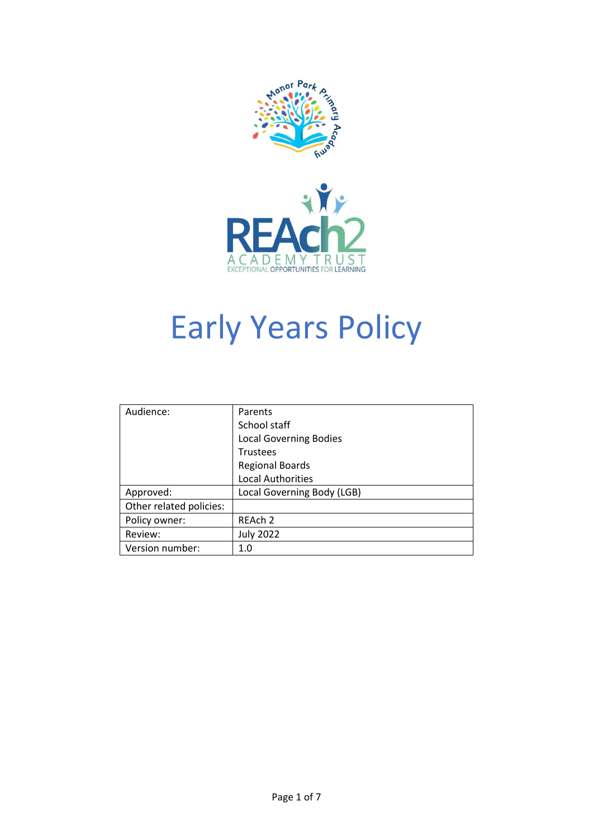



# Early Years Policy

| Audience:               | Parents                       |
|-------------------------|-------------------------------|
|                         | School staff                  |
|                         | <b>Local Governing Bodies</b> |
|                         | <b>Trustees</b>               |
|                         | <b>Regional Boards</b>        |
|                         | <b>Local Authorities</b>      |
| Approved:               | Local Governing Body (LGB)    |
| Other related policies: |                               |
| Policy owner:           | REAch 2                       |
| Review:                 | <b>July 2022</b>              |
| Version number:         | 1.0                           |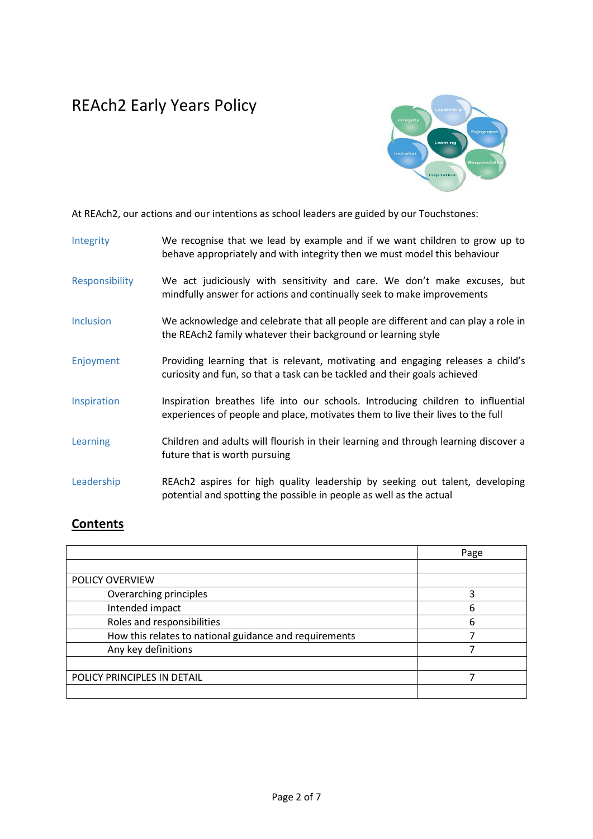## REAch2 Early Years Policy



At REAch2, our actions and our intentions as school leaders are guided by our Touchstones:

| Integrity        | We recognise that we lead by example and if we want children to grow up to<br>behave appropriately and with integrity then we must model this behaviour            |  |
|------------------|--------------------------------------------------------------------------------------------------------------------------------------------------------------------|--|
| Responsibility   | We act judiciously with sensitivity and care. We don't make excuses, but<br>mindfully answer for actions and continually seek to make improvements                 |  |
| <b>Inclusion</b> | We acknowledge and celebrate that all people are different and can play a role in<br>the REAch2 family whatever their background or learning style                 |  |
| Enjoyment        | Providing learning that is relevant, motivating and engaging releases a child's<br>curiosity and fun, so that a task can be tackled and their goals achieved       |  |
| Inspiration      | Inspiration breathes life into our schools. Introducing children to influential<br>experiences of people and place, motivates them to live their lives to the full |  |
| Learning         | Children and adults will flourish in their learning and through learning discover a<br>future that is worth pursuing                                               |  |
| Leadership       | REAch2 aspires for high quality leadership by seeking out talent, developing<br>potential and spotting the possible in people as well as the actual                |  |

### **Contents**

|                                                        | Page |
|--------------------------------------------------------|------|
|                                                        |      |
| <b>POLICY OVERVIEW</b>                                 |      |
| Overarching principles                                 | 3    |
| Intended impact                                        | 6    |
| Roles and responsibilities                             | 6    |
| How this relates to national guidance and requirements |      |
| Any key definitions                                    |      |
|                                                        |      |
| POLICY PRINCIPLES IN DETAIL                            |      |
|                                                        |      |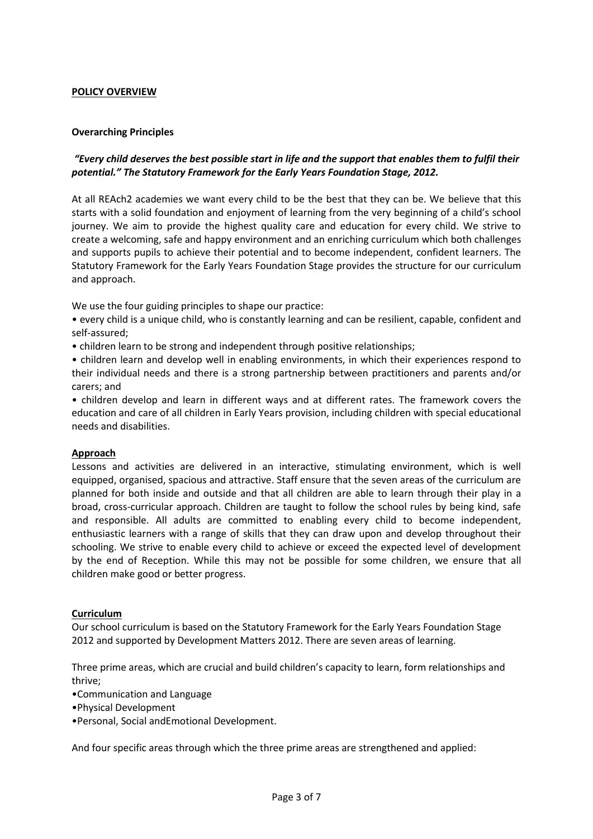#### **POLICY OVERVIEW**

#### **Overarching Principles**

#### *"Every child deserves the best possible start in life and the support that enables them to fulfil their potential." The Statutory Framework for the Early Years Foundation Stage, 2012.*

At all REAch2 academies we want every child to be the best that they can be. We believe that this starts with a solid foundation and enjoyment of learning from the very beginning of a child's school journey. We aim to provide the highest quality care and education for every child. We strive to create a welcoming, safe and happy environment and an enriching curriculum which both challenges and supports pupils to achieve their potential and to become independent, confident learners. The Statutory Framework for the Early Years Foundation Stage provides the structure for our curriculum and approach.

We use the four guiding principles to shape our practice:

- every child is a unique child, who is constantly learning and can be resilient, capable, confident and self-assured;
- children learn to be strong and independent through positive relationships;
- children learn and develop well in enabling environments, in which their experiences respond to their individual needs and there is a strong partnership between practitioners and parents and/or carers; and
- children develop and learn in different ways and at different rates. The framework covers the education and care of all children in Early Years provision, including children with special educational needs and disabilities.

#### **Approach**

Lessons and activities are delivered in an interactive, stimulating environment, which is well equipped, organised, spacious and attractive. Staff ensure that the seven areas of the curriculum are planned for both inside and outside and that all children are able to learn through their play in a broad, cross-curricular approach. Children are taught to follow the school rules by being kind, safe and responsible. All adults are committed to enabling every child to become independent, enthusiastic learners with a range of skills that they can draw upon and develop throughout their schooling. We strive to enable every child to achieve or exceed the expected level of development by the end of Reception. While this may not be possible for some children, we ensure that all children make good or better progress.

#### **Curriculum**

Our school curriculum is based on the Statutory Framework for the Early Years Foundation Stage 2012 and supported by Development Matters 2012. There are seven areas of learning.

Three prime areas, which are crucial and build children's capacity to learn, form relationships and thrive;

- •Communication and Language
- •Physical Development

•Personal, Social andEmotional Development.

And four specific areas through which the three prime areas are strengthened and applied: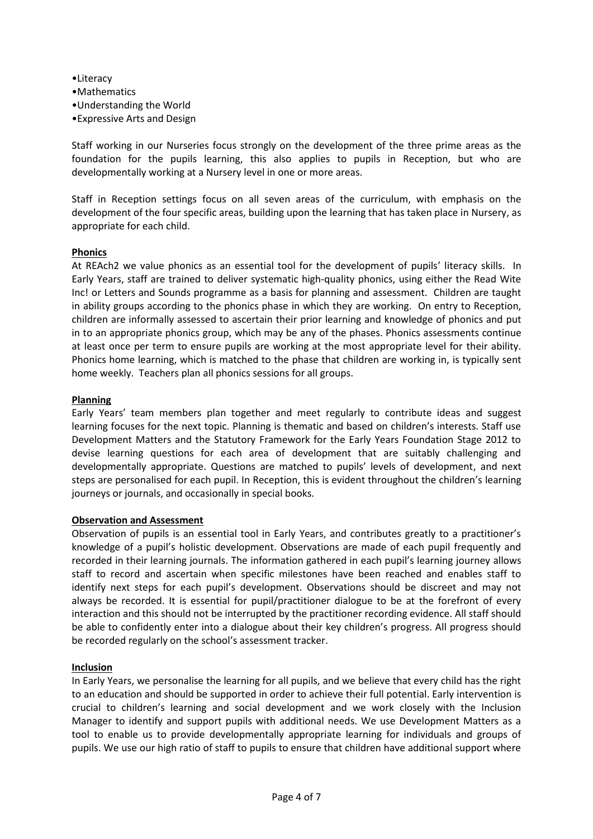•Literacy •Mathematics •Understanding the World •Expressive Arts and Design

Staff working in our Nurseries focus strongly on the development of the three prime areas as the foundation for the pupils learning, this also applies to pupils in Reception, but who are developmentally working at a Nursery level in one or more areas.

Staff in Reception settings focus on all seven areas of the curriculum, with emphasis on the development of the four specific areas, building upon the learning that has taken place in Nursery, as appropriate for each child.

#### **Phonics**

At REAch2 we value phonics as an essential tool for the development of pupils' literacy skills. In Early Years, staff are trained to deliver systematic high-quality phonics, using either the Read Wite Inc! or Letters and Sounds programme as a basis for planning and assessment. Children are taught in ability groups according to the phonics phase in which they are working. On entry to Reception, children are informally assessed to ascertain their prior learning and knowledge of phonics and put in to an appropriate phonics group, which may be any of the phases. Phonics assessments continue at least once per term to ensure pupils are working at the most appropriate level for their ability. Phonics home learning, which is matched to the phase that children are working in, is typically sent home weekly. Teachers plan all phonics sessions for all groups.

#### **Planning**

Early Years' team members plan together and meet regularly to contribute ideas and suggest learning focuses for the next topic. Planning is thematic and based on children's interests. Staff use Development Matters and the Statutory Framework for the Early Years Foundation Stage 2012 to devise learning questions for each area of development that are suitably challenging and developmentally appropriate. Questions are matched to pupils' levels of development, and next steps are personalised for each pupil. In Reception, this is evident throughout the children's learning journeys or journals, and occasionally in special books.

#### **Observation and Assessment**

Observation of pupils is an essential tool in Early Years, and contributes greatly to a practitioner's knowledge of a pupil's holistic development. Observations are made of each pupil frequently and recorded in their learning journals. The information gathered in each pupil's learning journey allows staff to record and ascertain when specific milestones have been reached and enables staff to identify next steps for each pupil's development. Observations should be discreet and may not always be recorded. It is essential for pupil/practitioner dialogue to be at the forefront of every interaction and this should not be interrupted by the practitioner recording evidence. All staff should be able to confidently enter into a dialogue about their key children's progress. All progress should be recorded regularly on the school's assessment tracker.

#### **Inclusion**

In Early Years, we personalise the learning for all pupils, and we believe that every child has the right to an education and should be supported in order to achieve their full potential. Early intervention is crucial to children's learning and social development and we work closely with the Inclusion Manager to identify and support pupils with additional needs. We use Development Matters as a tool to enable us to provide developmentally appropriate learning for individuals and groups of pupils. We use our high ratio of staff to pupils to ensure that children have additional support where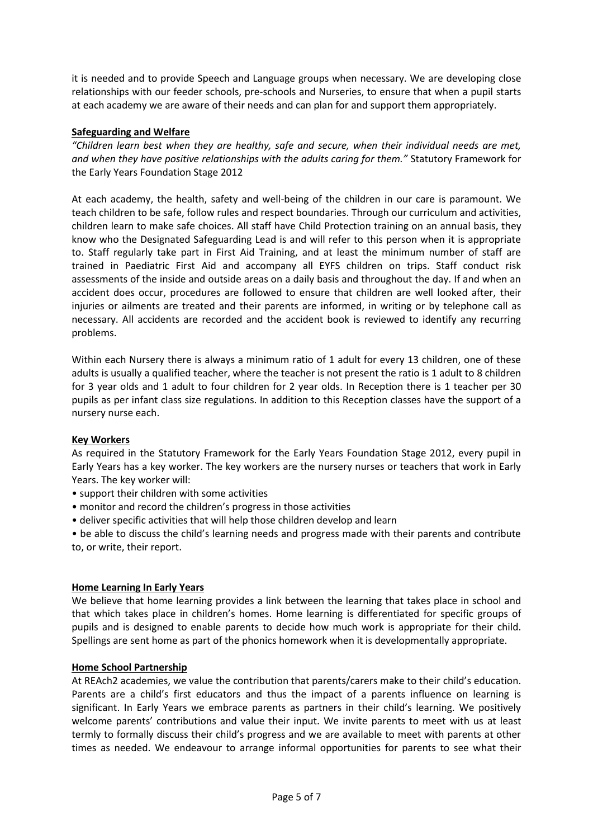it is needed and to provide Speech and Language groups when necessary. We are developing close relationships with our feeder schools, pre-schools and Nurseries, to ensure that when a pupil starts at each academy we are aware of their needs and can plan for and support them appropriately.

#### **Safeguarding and Welfare**

*"Children learn best when they are healthy, safe and secure, when their individual needs are met, and when they have positive relationships with the adults caring for them."* Statutory Framework for the Early Years Foundation Stage 2012

At each academy, the health, safety and well-being of the children in our care is paramount. We teach children to be safe, follow rules and respect boundaries. Through our curriculum and activities, children learn to make safe choices. All staff have Child Protection training on an annual basis, they know who the Designated Safeguarding Lead is and will refer to this person when it is appropriate to. Staff regularly take part in First Aid Training, and at least the minimum number of staff are trained in Paediatric First Aid and accompany all EYFS children on trips. Staff conduct risk assessments of the inside and outside areas on a daily basis and throughout the day. If and when an accident does occur, procedures are followed to ensure that children are well looked after, their injuries or ailments are treated and their parents are informed, in writing or by telephone call as necessary. All accidents are recorded and the accident book is reviewed to identify any recurring problems.

Within each Nursery there is always a minimum ratio of 1 adult for every 13 children, one of these adults is usually a qualified teacher, where the teacher is not present the ratio is 1 adult to 8 children for 3 year olds and 1 adult to four children for 2 year olds. In Reception there is 1 teacher per 30 pupils as per infant class size regulations. In addition to this Reception classes have the support of a nursery nurse each.

#### **Key Workers**

As required in the Statutory Framework for the Early Years Foundation Stage 2012, every pupil in Early Years has a key worker. The key workers are the nursery nurses or teachers that work in Early Years. The key worker will:

- support their children with some activities
- monitor and record the children's progress in those activities
- deliver specific activities that will help those children develop and learn

• be able to discuss the child's learning needs and progress made with their parents and contribute to, or write, their report.

#### **Home Learning In Early Years**

We believe that home learning provides a link between the learning that takes place in school and that which takes place in children's homes. Home learning is differentiated for specific groups of pupils and is designed to enable parents to decide how much work is appropriate for their child. Spellings are sent home as part of the phonics homework when it is developmentally appropriate.

#### **Home School Partnership**

At REAch2 academies, we value the contribution that parents/carers make to their child's education. Parents are a child's first educators and thus the impact of a parents influence on learning is significant. In Early Years we embrace parents as partners in their child's learning. We positively welcome parents' contributions and value their input. We invite parents to meet with us at least termly to formally discuss their child's progress and we are available to meet with parents at other times as needed. We endeavour to arrange informal opportunities for parents to see what their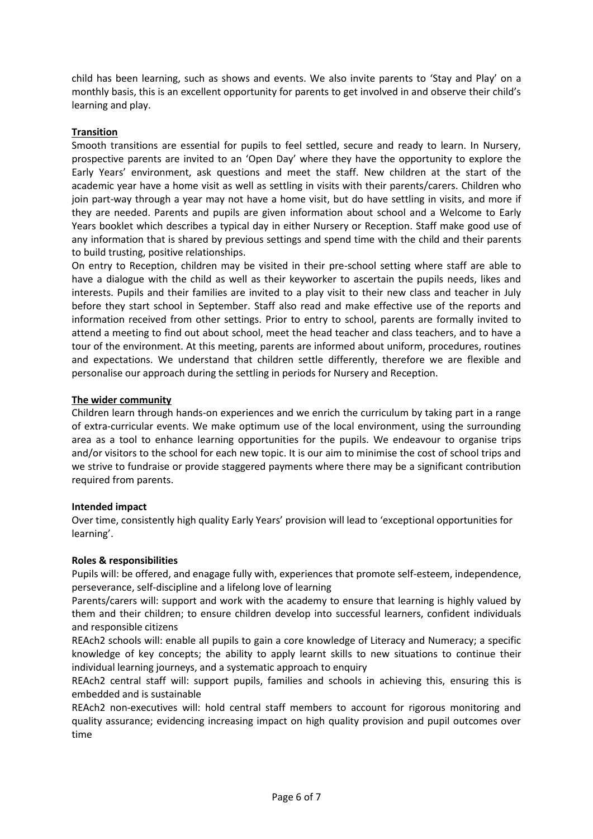child has been learning, such as shows and events. We also invite parents to 'Stay and Play' on a monthly basis, this is an excellent opportunity for parents to get involved in and observe their child's learning and play.

#### **Transition**

Smooth transitions are essential for pupils to feel settled, secure and ready to learn. In Nursery, prospective parents are invited to an 'Open Day' where they have the opportunity to explore the Early Years' environment, ask questions and meet the staff. New children at the start of the academic year have a home visit as well as settling in visits with their parents/carers. Children who join part-way through a year may not have a home visit, but do have settling in visits, and more if they are needed. Parents and pupils are given information about school and a Welcome to Early Years booklet which describes a typical day in either Nursery or Reception. Staff make good use of any information that is shared by previous settings and spend time with the child and their parents to build trusting, positive relationships.

On entry to Reception, children may be visited in their pre-school setting where staff are able to have a dialogue with the child as well as their keyworker to ascertain the pupils needs, likes and interests. Pupils and their families are invited to a play visit to their new class and teacher in July before they start school in September. Staff also read and make effective use of the reports and information received from other settings. Prior to entry to school, parents are formally invited to attend a meeting to find out about school, meet the head teacher and class teachers, and to have a tour of the environment. At this meeting, parents are informed about uniform, procedures, routines and expectations. We understand that children settle differently, therefore we are flexible and personalise our approach during the settling in periods for Nursery and Reception.

#### **The wider community**

Children learn through hands-on experiences and we enrich the curriculum by taking part in a range of extra-curricular events. We make optimum use of the local environment, using the surrounding area as a tool to enhance learning opportunities for the pupils. We endeavour to organise trips and/or visitors to the school for each new topic. It is our aim to minimise the cost of school trips and we strive to fundraise or provide staggered payments where there may be a significant contribution required from parents.

#### **Intended impact**

Over time, consistently high quality Early Years' provision will lead to 'exceptional opportunities for learning'.

#### **Roles & responsibilities**

Pupils will: be offered, and enagage fully with, experiences that promote self-esteem, independence, perseverance, self-discipline and a lifelong love of learning

Parents/carers will: support and work with the academy to ensure that learning is highly valued by them and their children; to ensure children develop into successful learners, confident individuals and responsible citizens

REAch2 schools will: enable all pupils to gain a core knowledge of Literacy and Numeracy; a specific knowledge of key concepts; the ability to apply learnt skills to new situations to continue their individual learning journeys, and a systematic approach to enquiry

REAch2 central staff will: support pupils, families and schools in achieving this, ensuring this is embedded and is sustainable

REAch2 non-executives will: hold central staff members to account for rigorous monitoring and quality assurance; evidencing increasing impact on high quality provision and pupil outcomes over time